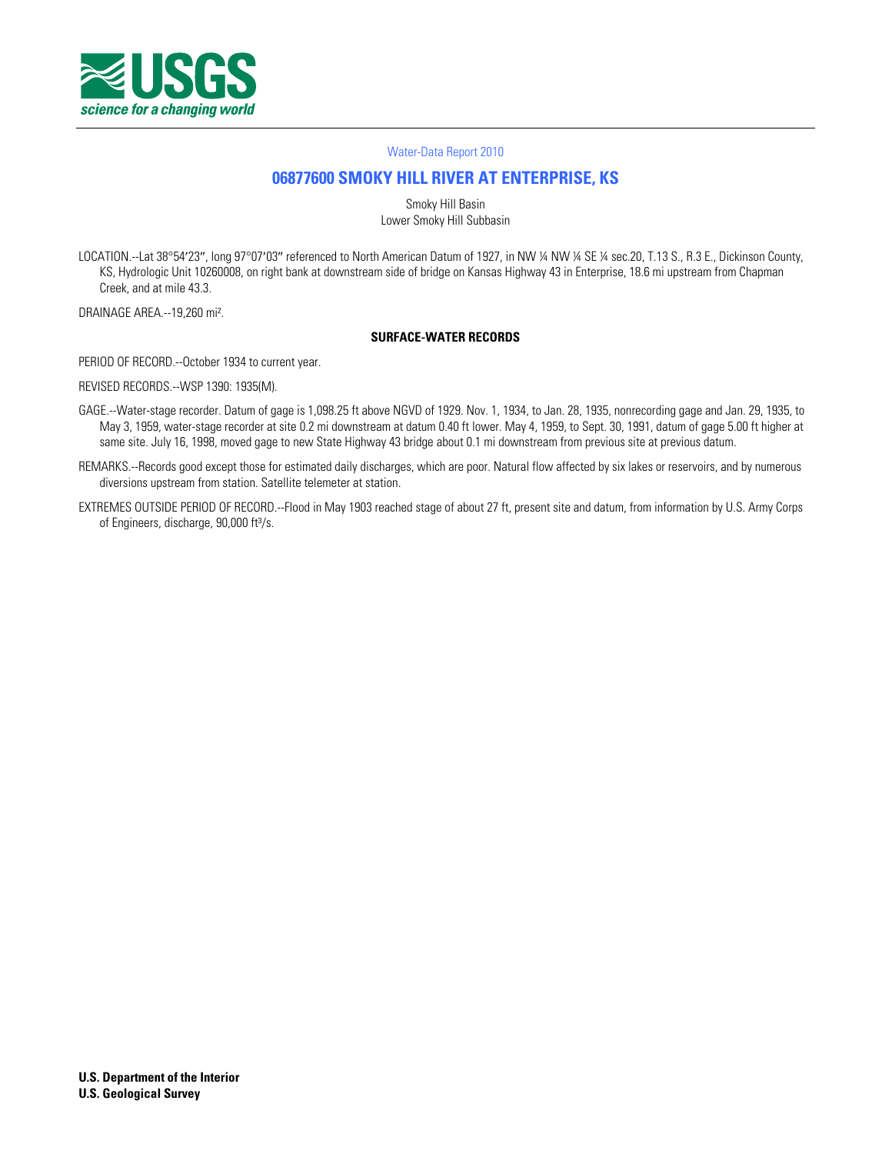

#### [Water-Data Report 2010](http://wdr.water.usgs.gov/)

# **[06877600 SMOKY HILL RIVER AT ENTERPRISE, KS](http://waterdata.usgs.gov/nwis/nwisman/?site_no=06877600)**

Smoky Hill Basin Lower Smoky Hill Subbasin

LOCATION.--Lat 38°54'23", long 97°07'03" referenced to North American Datum of 1927, in NW ¼ NW ¼ SE ¼ sec.20, T.13 S., R.3 E., Dickinson County, KS, Hydrologic Unit 10260008, on right bank at downstream side of bridge on Kansas Highway 43 in Enterprise, 18.6 mi upstream from Chapman Creek, and at mile 43.3.

DRAINAGE AREA.--19,260 mi².

### **SURFACE-WATER RECORDS**

PERIOD OF RECORD.--October 1934 to current year.

REVISED RECORDS.--WSP 1390: 1935(M).

- GAGE.--Water-stage recorder. Datum of gage is 1,098.25 ft above NGVD of 1929. Nov. 1, 1934, to Jan. 28, 1935, nonrecording gage and Jan. 29, 1935, to May 3, 1959, water-stage recorder at site 0.2 mi downstream at datum 0.40 ft lower. May 4, 1959, to Sept. 30, 1991, datum of gage 5.00 ft higher at same site. July 16, 1998, moved gage to new State Highway 43 bridge about 0.1 mi downstream from previous site at previous datum.
- REMARKS.--Records good except those for estimated daily discharges, which are poor. Natural flow affected by six lakes or reservoirs, and by numerous diversions upstream from station. Satellite telemeter at station.
- EXTREMES OUTSIDE PERIOD OF RECORD.--Flood in May 1903 reached stage of about 27 ft, present site and datum, from information by U.S. Army Corps of Engineers, discharge, 90,000 ft<sup>3</sup>/s.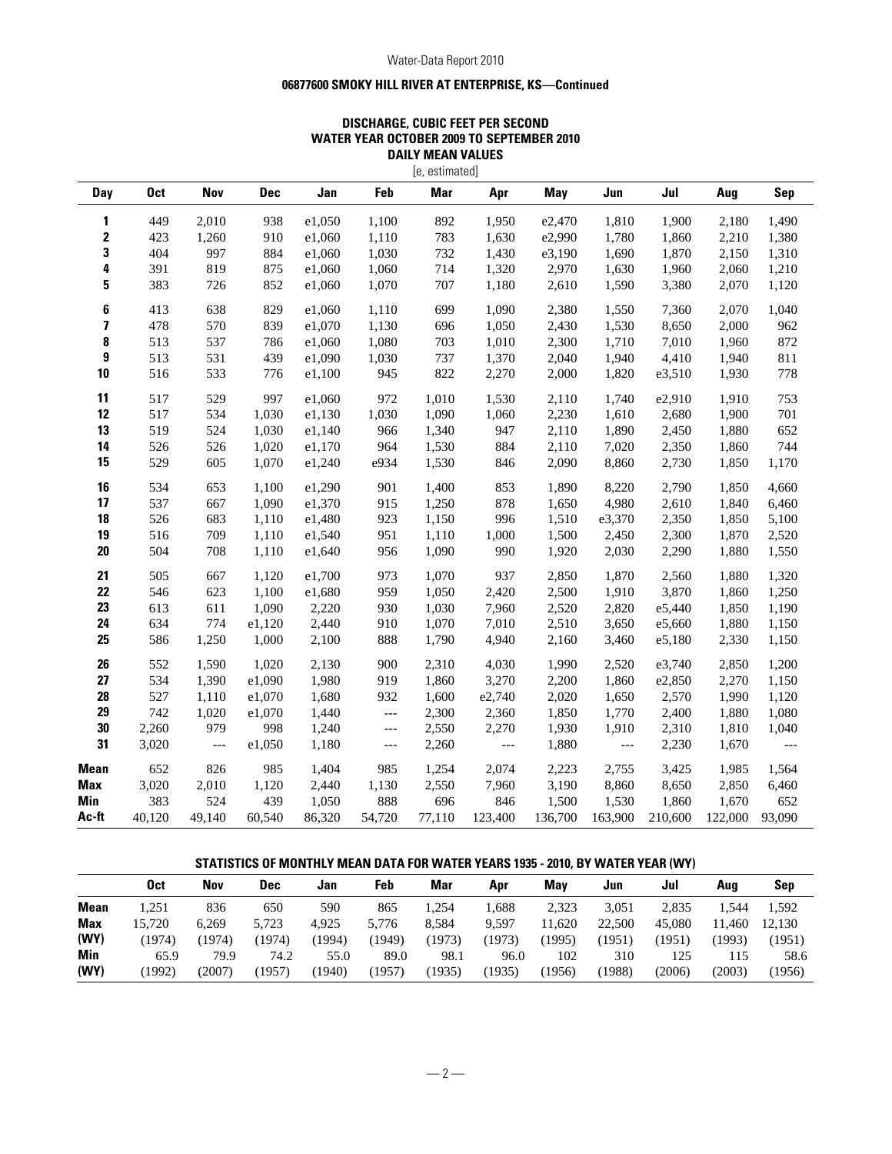### Water-Data Report 2010

## **06877600 SMOKY HILL RIVER AT ENTERPRISE, KS—Continued**

### **DISCHARGE, CUBIC FEET PER SECOND WATER YEAR OCTOBER 2009 TO SEPTEMBER 2010 DAILY MEAN VALUES**

|                         |            |                |            |        |                          | [e, estimated] |                |         |                |         |         |                          |
|-------------------------|------------|----------------|------------|--------|--------------------------|----------------|----------------|---------|----------------|---------|---------|--------------------------|
| Day                     | <b>Oct</b> | Nov            | <b>Dec</b> | Jan    | Feb                      | <b>Mar</b>     | Apr            | May     | Jun            | Jul     | Aug     | Sep                      |
| 1                       | 449        | 2,010          | 938        | e1,050 | 1,100                    | 892            | 1,950          | e2,470  | 1,810          | 1,900   | 2,180   | 1,490                    |
| $\boldsymbol{2}$        | 423        | 1,260          | 910        | e1,060 | 1,110                    | 783            | 1,630          | e2,990  | 1,780          | 1,860   | 2,210   | 1,380                    |
| 3                       | 404        | 997            | 884        | e1,060 | 1,030                    | 732            | 1,430          | e3,190  | 1,690          | 1,870   | 2,150   | 1,310                    |
| 4                       | 391        | 819            | 875        | e1,060 | 1,060                    | 714            | 1,320          | 2,970   | 1,630          | 1,960   | 2,060   | 1,210                    |
| 5                       | 383        | 726            | 852        | e1,060 | 1,070                    | 707            | 1,180          | 2,610   | 1,590          | 3,380   | 2,070   | 1,120                    |
| 6                       | 413        | 638            | 829        | e1,060 | 1,110                    | 699            | 1,090          | 2,380   | 1,550          | 7,360   | 2,070   | 1,040                    |
| $\overline{\mathbf{z}}$ | 478        | 570            | 839        | e1,070 | 1,130                    | 696            | 1,050          | 2,430   | 1,530          | 8,650   | 2,000   | 962                      |
| 8                       | 513        | 537            | 786        | e1,060 | 1,080                    | 703            | 1,010          | 2,300   | 1,710          | 7,010   | 1,960   | 872                      |
| 9                       | 513        | 531            | 439        | e1,090 | 1,030                    | 737            | 1,370          | 2,040   | 1,940          | 4,410   | 1,940   | 811                      |
| 10                      | 516        | 533            | 776        | e1,100 | 945                      | 822            | 2,270          | 2,000   | 1,820          | e3,510  | 1,930   | 778                      |
| 11                      | 517        | 529            | 997        | e1,060 | 972                      | 1,010          | 1,530          | 2,110   | 1,740          | e2,910  | 1,910   | 753                      |
| 12                      | 517        | 534            | 1,030      | e1,130 | 1,030                    | 1,090          | 1,060          | 2,230   | 1,610          | 2,680   | 1,900   | 701                      |
| 13                      | 519        | 524            | 1,030      | e1,140 | 966                      | 1,340          | 947            | 2,110   | 1,890          | 2,450   | 1,880   | 652                      |
| 14                      | 526        | 526            | 1,020      | e1,170 | 964                      | 1,530          | 884            | 2,110   | 7,020          | 2,350   | 1,860   | 744                      |
| 15                      | 529        | 605            | 1,070      | e1,240 | e934                     | 1,530          | 846            | 2,090   | 8,860          | 2,730   | 1,850   | 1,170                    |
| 16                      | 534        | 653            | 1,100      | e1,290 | 901                      | 1,400          | 853            | 1,890   | 8,220          | 2,790   | 1,850   | 4,660                    |
| 17                      | 537        | 667            | 1,090      | e1,370 | 915                      | 1,250          | 878            | 1,650   | 4,980          | 2,610   | 1,840   | 6,460                    |
| 18                      | 526        | 683            | 1,110      | e1,480 | 923                      | 1,150          | 996            | 1,510   | e3,370         | 2,350   | 1,850   | 5,100                    |
| 19                      | 516        | 709            | 1,110      | e1,540 | 951                      | 1,110          | 1,000          | 1,500   | 2,450          | 2,300   | 1,870   | 2,520                    |
| 20                      | 504        | 708            | 1,110      | e1,640 | 956                      | 1,090          | 990            | 1,920   | 2,030          | 2,290   | 1,880   | 1,550                    |
| 21                      | 505        | 667            | 1,120      | e1,700 | 973                      | 1,070          | 937            | 2,850   | 1,870          | 2,560   | 1,880   | 1,320                    |
| 22                      | 546        | 623            | 1,100      | e1,680 | 959                      | 1,050          | 2,420          | 2,500   | 1,910          | 3,870   | 1,860   | 1,250                    |
| 23                      | 613        | 611            | 1,090      | 2,220  | 930                      | 1,030          | 7,960          | 2,520   | 2,820          | e5,440  | 1,850   | 1,190                    |
| 24                      | 634        | 774            | e1,120     | 2,440  | 910                      | 1,070          | 7,010          | 2,510   | 3,650          | e5,660  | 1,880   | 1,150                    |
| 25                      | 586        | 1,250          | 1,000      | 2,100  | 888                      | 1,790          | 4,940          | 2,160   | 3,460          | e5,180  | 2,330   | 1,150                    |
| 26                      | 552        | 1,590          | 1,020      | 2,130  | 900                      | 2,310          | 4,030          | 1,990   | 2,520          | e3,740  | 2,850   | 1,200                    |
| 27                      | 534        | 1,390          | e1,090     | 1,980  | 919                      | 1,860          | 3,270          | 2,200   | 1,860          | e2,850  | 2,270   | 1,150                    |
| 28                      | 527        | 1,110          | e1,070     | 1,680  | 932                      | 1,600          | e2,740         | 2,020   | 1,650          | 2,570   | 1,990   | 1,120                    |
| 29                      | 742        | 1,020          | e1,070     | 1,440  | $\scriptstyle{\cdots}$ . | 2,300          | 2,360          | 1,850   | 1,770          | 2,400   | 1,880   | 1,080                    |
| 30                      | 2,260      | 979            | 998        | 1,240  | $\qquad \qquad - -$      | 2,550          | 2,270          | 1,930   | 1,910          | 2,310   | 1,810   | 1,040                    |
| 31                      | 3,020      | $\overline{a}$ | e1,050     | 1,180  | $\hspace{0.05cm} \ldots$ | 2,260          | $\overline{a}$ | 1,880   | $\overline{a}$ | 2,230   | 1,670   | $\overline{\phantom{a}}$ |
| <b>Mean</b>             | 652        | 826            | 985        | 1,404  | 985                      | 1,254          | 2,074          | 2,223   | 2,755          | 3,425   | 1,985   | 1,564                    |
| <b>Max</b>              | 3,020      | 2,010          | 1,120      | 2,440  | 1,130                    | 2,550          | 7,960          | 3,190   | 8,860          | 8,650   | 2,850   | 6,460                    |
| Min                     | 383        | 524            | 439        | 1,050  | 888                      | 696            | 846            | 1,500   | 1,530          | 1,860   | 1,670   | 652                      |
| Ac-ft                   | 40,120     | 49.140         | 60,540     | 86,320 | 54,720                   | 77,110         | 123,400        | 136,700 | 163,900        | 210,600 | 122,000 | 93,090                   |

## **STATISTICS OF MONTHLY MEAN DATA FOR WATER YEARS 1935 - 2010, BY WATER YEAR (WY)**

|             | Oct    | Nov    | Dec    | Jan   | Feb    | Mar    | Apr    | May    | Jun    | Jul    | Aua     | Sep    |
|-------------|--------|--------|--------|-------|--------|--------|--------|--------|--------|--------|---------|--------|
| <b>Mean</b> | 1.251  | 836    | 650    | 590   | 865    | .254   | 1,688  | 2,323  | 3.051  | 2,835  | 1,544   | 1,592  |
| <b>Max</b>  | 15.720 | 6.269  | 5.723  | 4.925 | 5.776  | 8.584  | 9.597  | 11.620 | 22,500 | 45,080 | ' 1.460 | 12.130 |
| (WY)        | (1974) | (1974  | (1974) | 1994) | (1949) | (1973) | (1973) | 1995   | (1951) | (1951  | (1993   | (1951) |
| <b>Min</b>  | 65.9   | 79.9   | 74.2   | 55.0  | 89.0   | 98.1   | 96.0   | 102    | 310    | 125    | 115     | 58.6   |
| (WY)        | (1992) | (2007) | (1957) | 1940) | (1957) | (1935) | (1935) | 1956)  | (1988) | (2006) | (2003)  | (1956) |